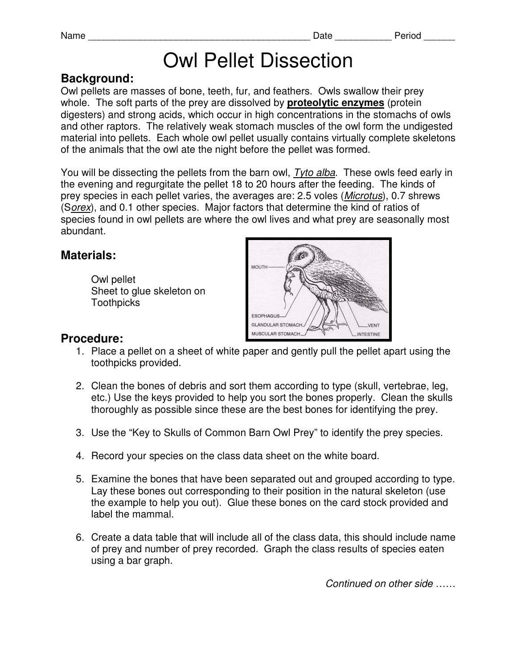# Owl Pellet Dissection

## **Background:**

Owl pellets are masses of bone, teeth, fur, and feathers. Owls swallow their prey whole. The soft parts of the prey are dissolved by **proteolytic enzymes** (protein digesters) and strong acids, which occur in high concentrations in the stomachs of owls and other raptors. The relatively weak stomach muscles of the owl form the undigested material into pellets. Each whole owl pellet usually contains virtually complete skeletons of the animals that the owl ate the night before the pellet was formed.

You will be dissecting the pellets from the barn owl, Tyto alba. These owls feed early in the evening and regurgitate the pellet 18 to 20 hours after the feeding. The kinds of prey species in each pellet varies, the averages are: 2.5 voles (Microtus), 0.7 shrews (Sorex), and 0.1 other species. Major factors that determine the kind of ratios of species found in owl pellets are where the owl lives and what prey are seasonally most abundant.

## **Materials:**

 Owl pellet Sheet to glue skeleton on **Toothpicks** 



## **Procedure:**

- 1. Place a pellet on a sheet of white paper and gently pull the pellet apart using the toothpicks provided.
- 2. Clean the bones of debris and sort them according to type (skull, vertebrae, leg, etc.) Use the keys provided to help you sort the bones properly. Clean the skulls thoroughly as possible since these are the best bones for identifying the prey.
- 3. Use the "Key to Skulls of Common Barn Owl Prey" to identify the prey species.
- 4. Record your species on the class data sheet on the white board.
- 5. Examine the bones that have been separated out and grouped according to type. Lay these bones out corresponding to their position in the natural skeleton (use the example to help you out). Glue these bones on the card stock provided and label the mammal.
- 6. Create a data table that will include all of the class data, this should include name of prey and number of prey recorded. Graph the class results of species eaten using a bar graph.

Continued on other side ……